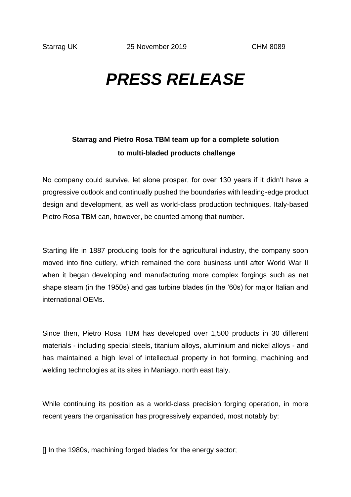## *PRESS RELEASE*

## **Starrag and Pietro Rosa TBM team up for a complete solution to multi-bladed products challenge**

No company could survive, let alone prosper, for over 130 years if it didn't have a progressive outlook and continually pushed the boundaries with leading-edge product design and development, as well as world-class production techniques. Italy-based Pietro Rosa TBM can, however, be counted among that number.

Starting life in 1887 producing tools for the agricultural industry, the company soon moved into fine cutlery, which remained the core business until after World War II when it began developing and manufacturing more complex forgings such as net shape steam (in the 1950s) and gas turbine blades (in the '60s) for major Italian and international OEMs.

Since then, Pietro Rosa TBM has developed over 1,500 products in 30 different materials - including special steels, titanium alloys, aluminium and nickel alloys - and has maintained a high level of intellectual property in hot forming, machining and welding technologies at its sites in Maniago, north east Italy.

While continuing its position as a world-class precision forging operation, in more recent years the organisation has progressively expanded, most notably by:

[] In the 1980s, machining forged blades for the energy sector;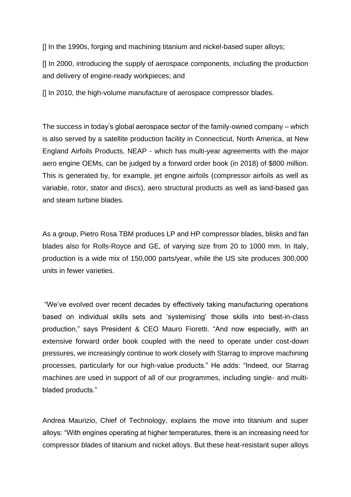[] In the 1990s, forging and machining titanium and nickel-based super alloys;

[] In 2000, introducing the supply of aerospace components, including the production and delivery of engine-ready workpieces; and

[] In 2010, the high-volume manufacture of aerospace compressor blades.

The success in today's global aerospace sector of the family-owned company – which is also served by a satellite production facility in Connecticut, North America, at New England Airfoils Products, NEAP - which has multi-year agreements with the major aero engine OEMs, can be judged by a forward order book (in 2018) of \$800 million. This is generated by, for example, jet engine airfoils (compressor airfoils as well as variable, rotor, stator and discs), aero structural products as well as land-based gas and steam turbine blades.

As a group, Pietro Rosa TBM produces LP and HP compressor blades, blisks and fan blades also for Rolls-Royce and GE, of varying size from 20 to 1000 mm. In Italy, production is a wide mix of 150,000 parts/year, while the US site produces 300,000 units in fewer varieties.

"We've evolved over recent decades by effectively taking manufacturing operations based on individual skills sets and 'systemising' those skills into best-in-class production," says President & CEO Mauro Fioretti. "And now especially, with an extensive forward order book coupled with the need to operate under cost-down pressures, we increasingly continue to work closely with Starrag to improve machining processes, particularly for our high-value products." He adds: "Indeed, our Starrag machines are used in support of all of our programmes, including single- and multibladed products."

Andrea Maurizio, Chief of Technology, explains the move into titanium and super alloys: "With engines operating at higher temperatures, there is an increasing need for compressor blades of titanium and nickel alloys. But these heat-resistant super alloys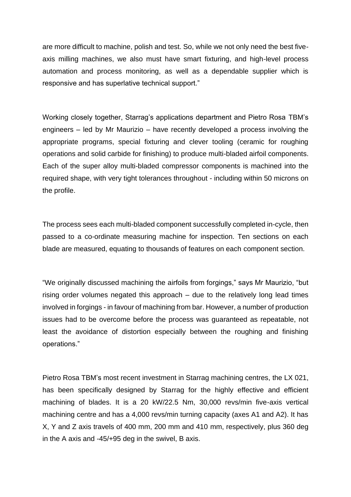are more difficult to machine, polish and test. So, while we not only need the best fiveaxis milling machines, we also must have smart fixturing, and high-level process automation and process monitoring, as well as a dependable supplier which is responsive and has superlative technical support."

Working closely together, Starrag's applications department and Pietro Rosa TBM's engineers – led by Mr Maurizio – have recently developed a process involving the appropriate programs, special fixturing and clever tooling (ceramic for roughing operations and solid carbide for finishing) to produce multi-bladed airfoil components. Each of the super alloy multi-bladed compressor components is machined into the required shape, with very tight tolerances throughout - including within 50 microns on the profile.

The process sees each multi-bladed component successfully completed in-cycle, then passed to a co-ordinate measuring machine for inspection. Ten sections on each blade are measured, equating to thousands of features on each component section.

"We originally discussed machining the airfoils from forgings," says Mr Maurizio, "but rising order volumes negated this approach – due to the relatively long lead times involved in forgings - in favour of machining from bar. However, a number of production issues had to be overcome before the process was guaranteed as repeatable, not least the avoidance of distortion especially between the roughing and finishing operations."

Pietro Rosa TBM's most recent investment in Starrag machining centres, the LX 021, has been specifically designed by Starrag for the highly effective and efficient machining of blades. It is a 20 kW/22.5 Nm, 30,000 revs/min five-axis vertical machining centre and has a 4,000 revs/min turning capacity (axes A1 and A2). It has X, Y and Z axis travels of 400 mm, 200 mm and 410 mm, respectively, plus 360 deg in the A axis and -45/+95 deg in the swivel, B axis.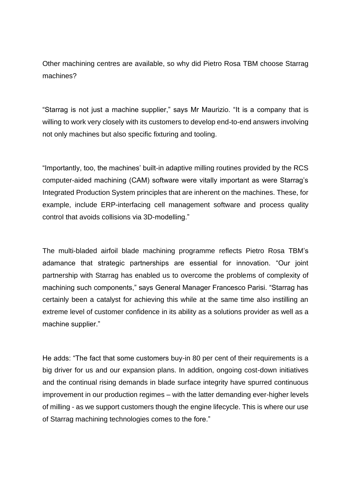Other machining centres are available, so why did Pietro Rosa TBM choose Starrag machines?

"Starrag is not just a machine supplier," says Mr Maurizio. "It is a company that is willing to work very closely with its customers to develop end-to-end answers involving not only machines but also specific fixturing and tooling.

"Importantly, too, the machines' built-in adaptive milling routines provided by the RCS computer-aided machining (CAM) software were vitally important as were Starrag's Integrated Production System principles that are inherent on the machines. These, for example, include ERP-interfacing cell management software and process quality control that avoids collisions via 3D-modelling."

The multi-bladed airfoil blade machining programme reflects Pietro Rosa TBM's adamance that strategic partnerships are essential for innovation. "Our joint partnership with Starrag has enabled us to overcome the problems of complexity of machining such components," says General Manager Francesco Parisi. "Starrag has certainly been a catalyst for achieving this while at the same time also instilling an extreme level of customer confidence in its ability as a solutions provider as well as a machine supplier."

He adds: "The fact that some customers buy-in 80 per cent of their requirements is a big driver for us and our expansion plans. In addition, ongoing cost-down initiatives and the continual rising demands in blade surface integrity have spurred continuous improvement in our production regimes – with the latter demanding ever-higher levels of milling - as we support customers though the engine lifecycle. This is where our use of Starrag machining technologies comes to the fore."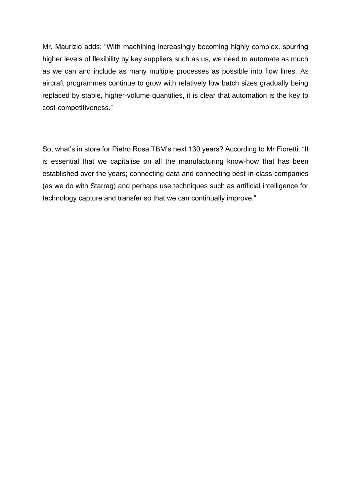Mr. Maurizio adds: "With machining increasingly becoming highly complex, spurring higher levels of flexibility by key suppliers such as us, we need to automate as much as we can and include as many multiple processes as possible into flow lines. As aircraft programmes continue to grow with relatively low batch sizes gradually being replaced by stable, higher-volume quantities, it is clear that automation is the key to cost-competitiveness."

So, what's in store for Pietro Rosa TBM's next 130 years? According to Mr Fioretti: "It is essential that we capitalise on all the manufacturing know-how that has been established over the years; connecting data and connecting best-in-class companies (as we do with Starrag) and perhaps use techniques such as artificial intelligence for technology capture and transfer so that we can continually improve."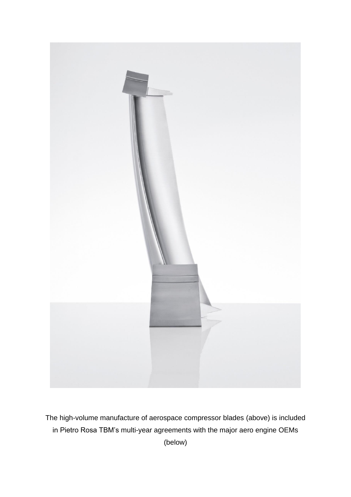

The high-volume manufacture of aerospace compressor blades (above) is included in Pietro Rosa TBM's multi-year agreements with the major aero engine OEMs (below)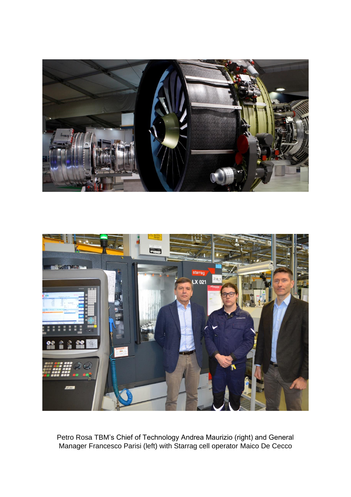



Petro Rosa TBM's Chief of Technology Andrea Maurizio (right) and General Manager Francesco Parisi (left) with Starrag cell operator Maico De Cecco